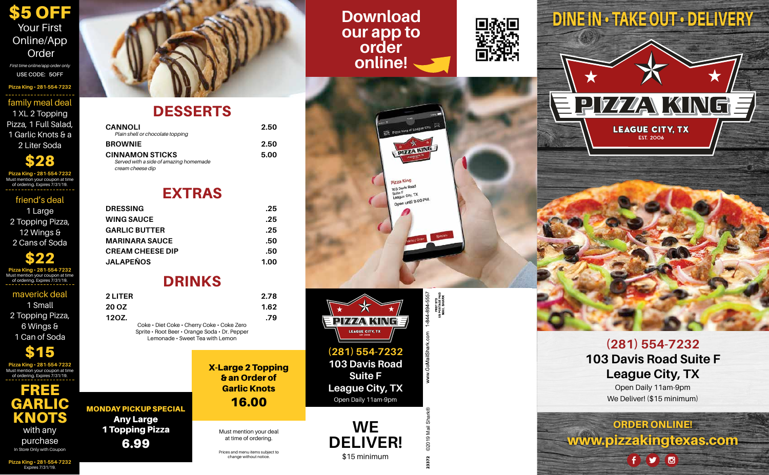FREE GARLIC KNOTS with any purchase In Store Only with Coupon

# **DESSERTS**



<u>PIZZANKING</u>

**LEAGUE CITY, TX EST. 2006** 

## **Download DINE IN • TAKE OUT • DELIVERY our app to order online!**







Open Daily 11am-9pm We Deliver! (\$15 minimum)

**DELIVER! DZG** 



**(281) 554-7232 103 Davis Road Suite F League City, TX** Open Daily 11am-9pm

**WE**

\$15 minimum

# EXTRAS

## DRINKS

| <b>CANNOLI</b><br>Plain shell or chocolate topping         | 2.50 |
|------------------------------------------------------------|------|
| <b>BROWNIE</b>                                             | 2.50 |
| <b>CINNAMON STICKS</b>                                     | 5.00 |
| Served with a side of amazing homemade<br>cream cheese dip |      |

| <b>DRESSING</b>         | .25  |
|-------------------------|------|
| <b>WING SAUCE</b>       | .25  |
| <b>GARLIC BUTTER</b>    | .25  |
| <b>MARINARA SAUCE</b>   | .50  |
| <b>CREAM CHEESE DIP</b> | .50  |
| <b>JALAPEÑOS</b>        | 1.00 |

| <b>2 LITER</b> |                                            | 2.78 |
|----------------|--------------------------------------------|------|
| <b>20 OZ</b>   |                                            | 1.62 |
| 120Z.          |                                            | .79  |
|                | Coke • Diet Coke • Cherry Coke • Coke Zero |      |

Sprite • Root Beer • Orange Soda • Dr. Pepper Lemonade • Sweet Tea with Lemon

MONDAY PICKUP SPECIAL Any Large 1 Topping Pizza

6.99

X-Large 2 Topping & an Order of Garlic Knots 16.00

**Pizza King • 281-554-7232** family meal deal 1 XL 2 Topping Pizza, 1 Full Salad, 1 Garlic Knots & a 2 Liter Soda

**Pizza King • 281-554-7232** Must mention your coupon at time of ordering. Expires 7/31/19. \$28

**Pizza King • 281-554-7232** Must mention your coupon at time of ordering. Expires 7/31/19. \$22

**Pizza King • 281-554-7232** Expires 7/31/19.

**Pizza King • 281-554-7232** Must mention your coupon at time of ordering. Expires 7/31/19. \$15

friend's deal

1 Large 2 Topping Pizza, 12 Wings & 2 Cans of Soda

#### maverick deal

1 Small 2 Topping Pizza, 6 Wings & 1 Can of Soda

\$5 OFF Your First Online/App Order

*First time online/app order only* **USE CODE: 5OFF**

> Prices and menu items subject to change without notice.

Must mention your deal at time of ordering.

23372 ©2019 Mail Shark®

PRST STD<br>US POSTAGE PAID<br>MAIL SHARK -844-894-5557